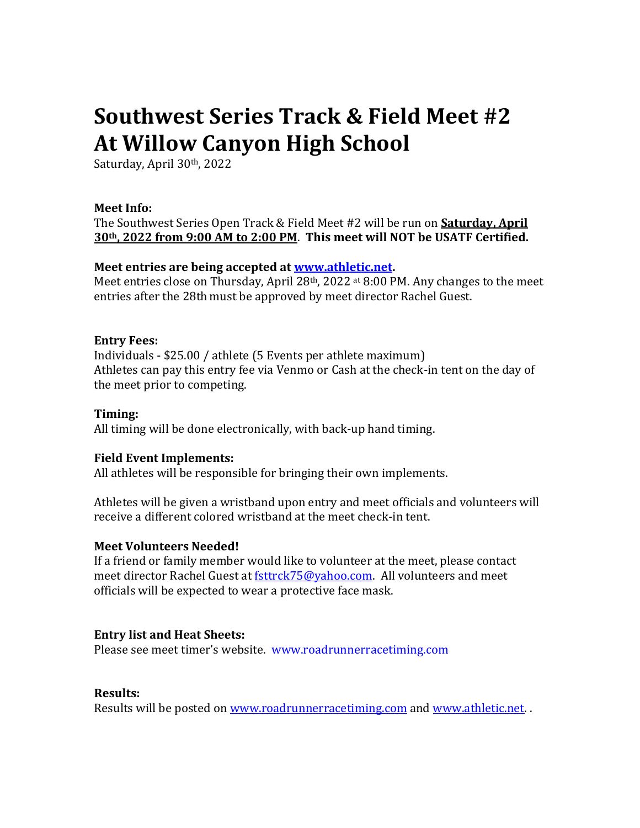# **Southwest Series Track & Field Meet #2 At Willow Canyon High School**

Saturday, April 30th, 2022

### **Meet Info:**

The Southwest Series Open Track & Field Meet #2 will be run on **Saturday, April 30th, 2022 from 9:00 AM to 2:00 PM**. **This meet will NOT be USATF Certified.**

## **Meet entries are being accepted at [www.athletic.net.](http://www.athletic.net/)**

Meet entries close on Thursday, April 28<sup>th</sup>, 2022 at 8:00 PM. Any changes to the meet entries after the 28th must be approved by meet director Rachel Guest.

## **Entry Fees:**

Individuals - \$25.00 / athlete (5 Events per athlete maximum) Athletes can pay this entry fee via Venmo or Cash at the check-in tent on the day of the meet prior to competing.

### **Timing:**

All timing will be done electronically, with back-up hand timing.

### **Field Event Implements:**

All athletes will be responsible for bringing their own implements.

Athletes will be given a wristband upon entry and meet officials and volunteers will receive a different colored wristband at the meet check-in tent.

### **Meet Volunteers Needed!**

If a friend or family member would like to volunteer at the meet, please contact meet director Rachel Guest a[t fsttrck75@yahoo.com.](mailto:fsttrck75@yahoo.com) All volunteers and meet officials will be expected to wear a protective face mask.

## **Entry list and Heat Sheets:**

Please see meet timer's website. www.roadrunnerracetiming.com

### **Results:**

Results will be posted on [www.roadrunnerracetiming.com](http://www.roadrunnerracetiming.com/) and [www.athletic.net.](http://www.athletic.net/).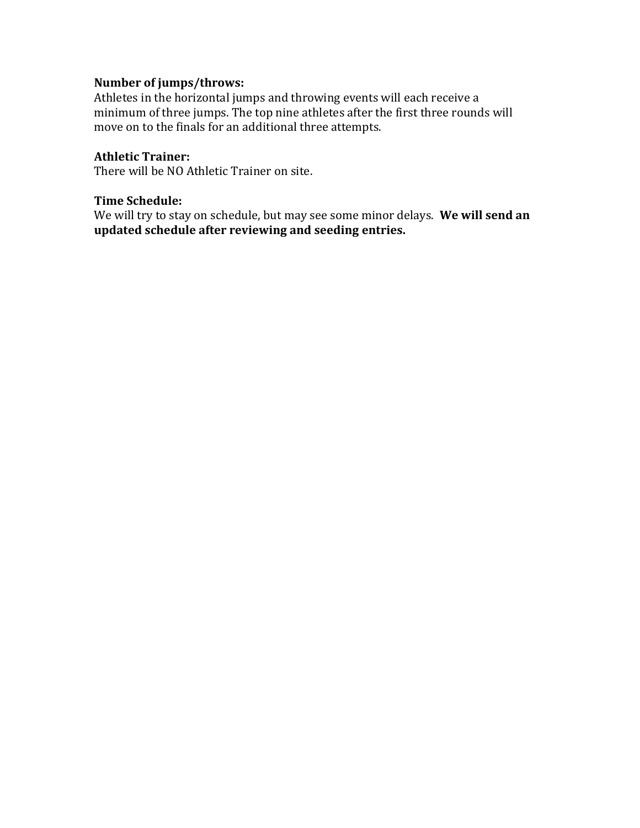# **Number of jumps/throws:**

Athletes in the horizontal jumps and throwing events will each receive a minimum of three jumps. The top nine athletes after the first three rounds will move on to the finals for an additional three attempts.

## **Athletic Trainer:**

There will be NO Athletic Trainer on site.

#### **Time Schedule:**

We will try to stay on schedule, but may see some minor delays. **We will send an updated schedule after reviewing and seeding entries.**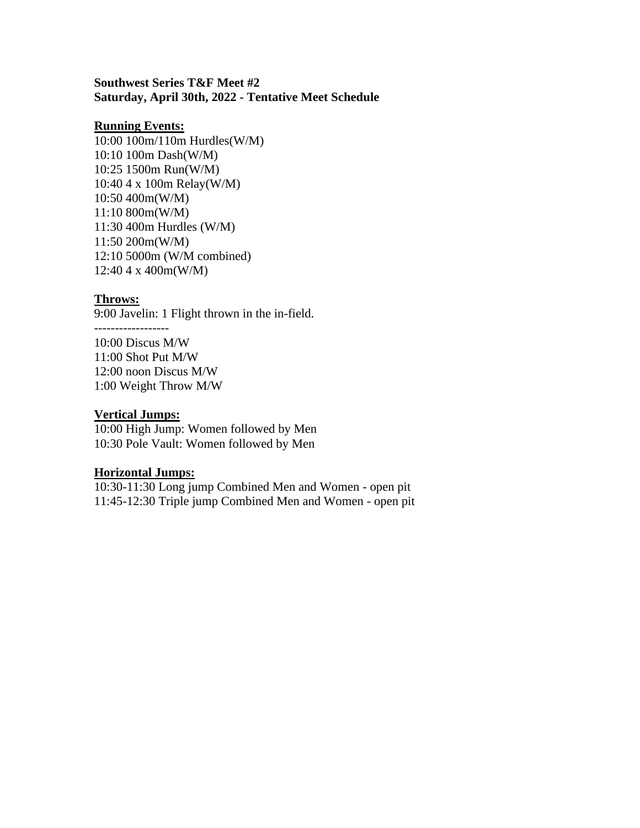#### **Southwest Series T&F Meet #2 Saturday, April 30th, 2022 - Tentative Meet Schedule**

#### **Running Events:**

10:00 100m/110m Hurdles(W/M) 10:10 100m Dash(W/M) 10:25 1500m Run(W/M) 10:40 4 x 100m Relay(W/M) 10:50 400m(W/M) 11:10 800m(W/M) 11:30 400m Hurdles (W/M) 11:50 200m(W/M) 12:10 5000m (W/M combined) 12:40 4 x 400m(W/M)

#### **Throws:**

9:00 Javelin: 1 Flight thrown in the in-field.

------------------ 10:00 Discus M/W 11:00 Shot Put M/W 12:00 noon Discus M/W 1:00 Weight Throw M/W

#### **Vertical Jumps:**

10:00 High Jump: Women followed by Men 10:30 Pole Vault: Women followed by Men

#### **Horizontal Jumps:**

10:30-11:30 Long jump Combined Men and Women - open pit 11:45-12:30 Triple jump Combined Men and Women - open pit